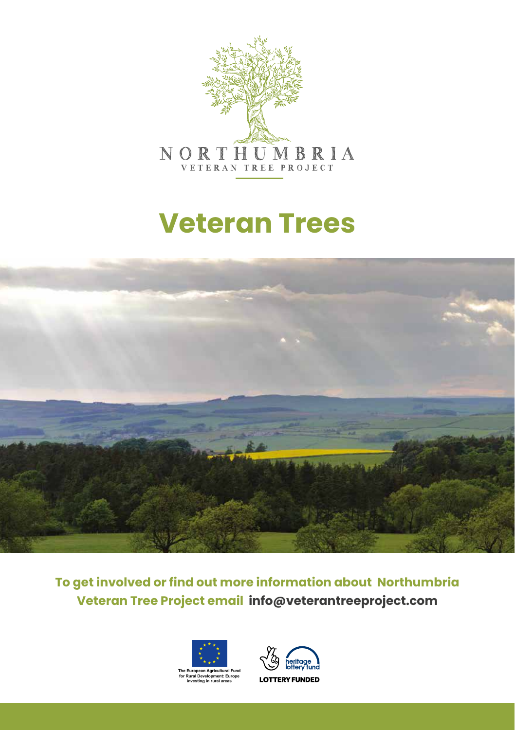

# **Veteran Trees**



**To get involved or find out more information about Northumbria Veteran Tree Project email info@veterantreeproject.com**



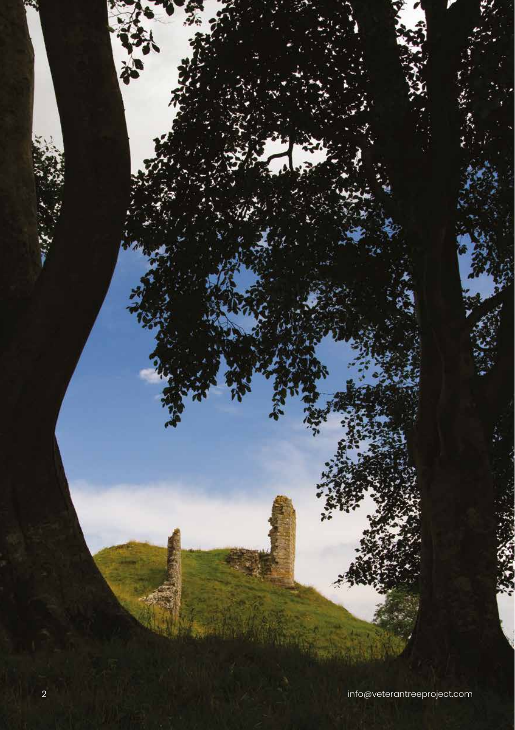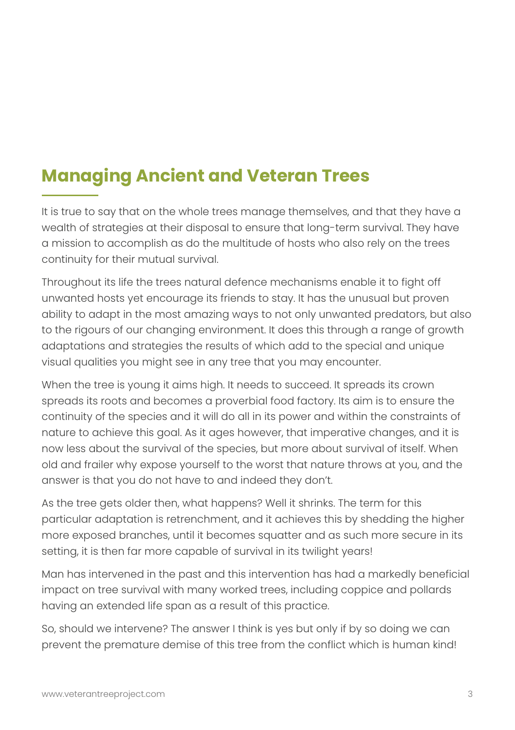# **Managing Ancient and Veteran Trees**

It is true to say that on the whole trees manage themselves, and that they have a wealth of strategies at their disposal to ensure that long-term survival. They have a mission to accomplish as do the multitude of hosts who also rely on the trees continuity for their mutual survival.

Throughout its life the trees natural defence mechanisms enable it to fight off unwanted hosts yet encourage its friends to stay. It has the unusual but proven ability to adapt in the most amazing ways to not only unwanted predators, but also to the rigours of our changing environment. It does this through a range of growth adaptations and strategies the results of which add to the special and unique visual qualities you might see in any tree that you may encounter.

When the tree is young it aims high. It needs to succeed. It spreads its crown spreads its roots and becomes a proverbial food factory. Its aim is to ensure the continuity of the species and it will do all in its power and within the constraints of nature to achieve this goal. As it ages however, that imperative changes, and it is now less about the survival of the species, but more about survival of itself. When old and frailer why expose yourself to the worst that nature throws at you, and the answer is that you do not have to and indeed they don't.

As the tree gets older then, what happens? Well it shrinks. The term for this particular adaptation is retrenchment, and it achieves this by shedding the higher more exposed branches, until it becomes squatter and as such more secure in its setting, it is then far more capable of survival in its twilight years!

Man has intervened in the past and this intervention has had a markedly beneficial impact on tree survival with many worked trees, including coppice and pollards having an extended life span as a result of this practice.

So, should we intervene? The answer I think is yes but only if by so doing we can prevent the premature demise of this tree from the conflict which is human kind!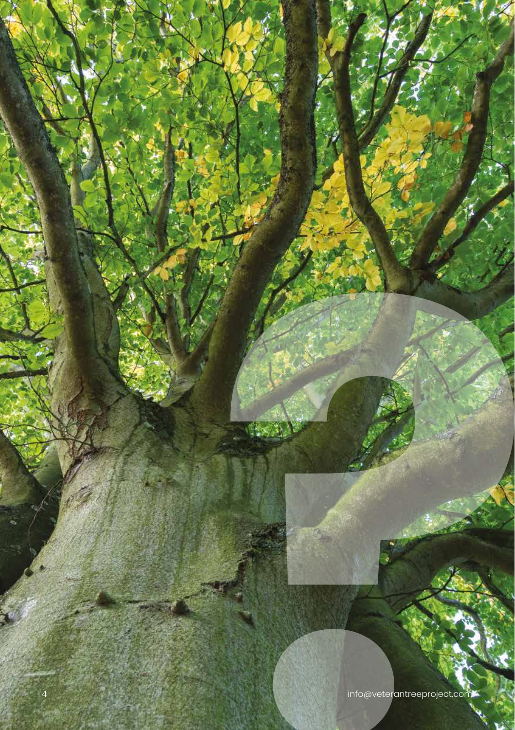**Property Contains the Contact of Contact Contact Contact Contact Contact Contact Contact Contact Contact Contact Contact Contact Contact Contact Contact Contact Contact Contact Contact Contact Contact Contact Contact Cont** 

4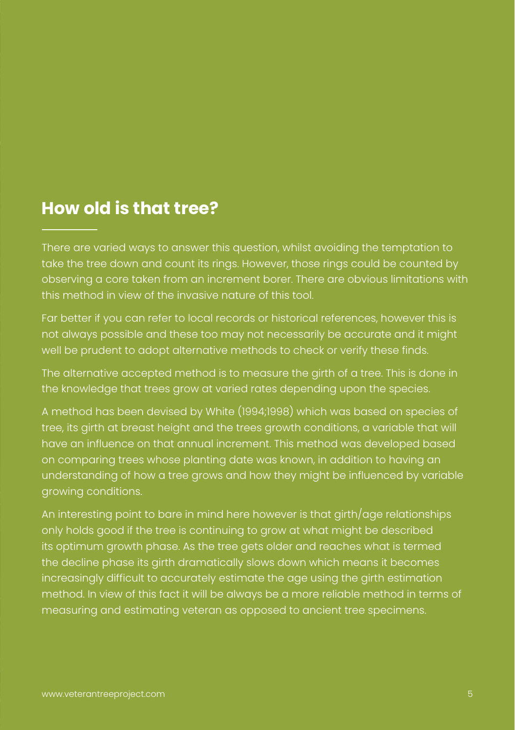### **How old is that tree?**

There are varied ways to answer this question, whilst avoiding the temptation to take the tree down and count its rings. However, those rings could be counted by observing a core taken from an increment borer. There are obvious limitations with this method in view of the invasive nature of this tool.

Far better if you can refer to local records or historical references, however this is not always possible and these too may not necessarily be accurate and it might well be prudent to adopt alternative methods to check or verify these finds.

The alternative accepted method is to measure the girth of a tree. This is done in the knowledge that trees grow at varied rates depending upon the species.

A method has been devised by White (1994;1998) which was based on species of tree, its girth at breast height and the trees growth conditions, a variable that will have an influence on that annual increment. This method was developed based on comparing trees whose planting date was known, in addition to having an understanding of how a tree grows and how they might be influenced by variable growing conditions.

An interesting point to bare in mind here however is that girth/age relationships only holds good if the tree is continuing to grow at what might be described its optimum growth phase. As the tree gets older and reaches what is termed the decline phase its girth dramatically slows down which means it becomes increasingly difficult to accurately estimate the age using the girth estimation method. In view of this fact it will be always be a more reliable method in terms of Well be plotellart to doopt diatellartive metriods to check of verify these infits.<br>The alternative accepted method is to measure the girth of a tree. This is done in<br>the knowledge that trees grow at varied rates depending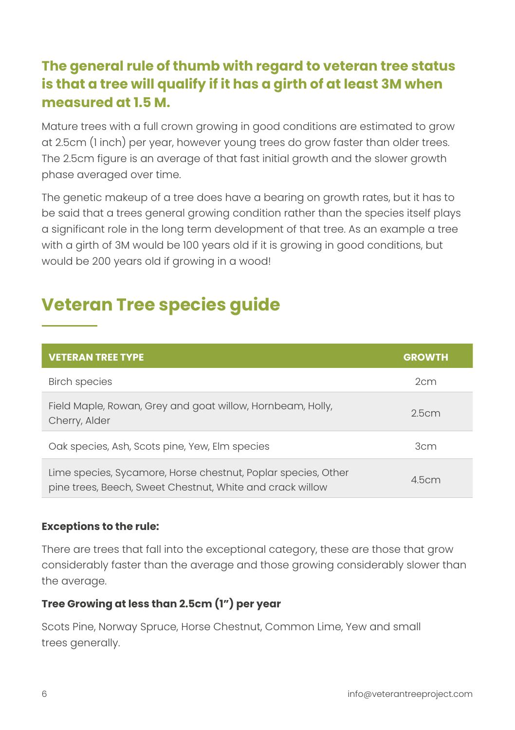### **The general rule of thumb with regard to veteran tree status is that a tree will qualify if it has a girth of at least 3M when measured at 1.5 M.**

Mature trees with a full crown growing in good conditions are estimated to grow at 2.5cm (1 inch) per year, however young trees do grow faster than older trees. The 2.5cm figure is an average of that fast initial growth and the slower growth phase averaged over time.

The genetic makeup of a tree does have a bearing on growth rates, but it has to be said that a trees general growing condition rather than the species itself plays a significant role in the long term development of that tree. As an example a tree with a girth of 3M would be 100 years old if it is growing in good conditions, but would be 200 years old if growing in a wood!

# **Veteran Tree species guide**

| <b>VETERAN TREE TYPE</b>                                                                                                   | <b>GROWTH</b> |
|----------------------------------------------------------------------------------------------------------------------------|---------------|
| Birch species                                                                                                              | 2cm           |
| Field Maple, Rowan, Grey and goat willow, Hornbeam, Holly,<br>Cherry, Alder                                                | 25cm          |
| Oak species, Ash, Scots pine, Yew, Elm species                                                                             | 3cm           |
| Lime species, Sycamore, Horse chestnut, Poplar species, Other<br>pine trees, Beech, Sweet Chestnut, White and crack willow | 45cm          |

#### **Exceptions to the rule:**

There are trees that fall into the exceptional category, these are those that grow considerably faster than the average and those growing considerably slower than the average.

#### **Tree Growing at less than 2.5cm (1") per year**

Scots Pine, Norway Spruce, Horse Chestnut, Common Lime, Yew and small trees generally.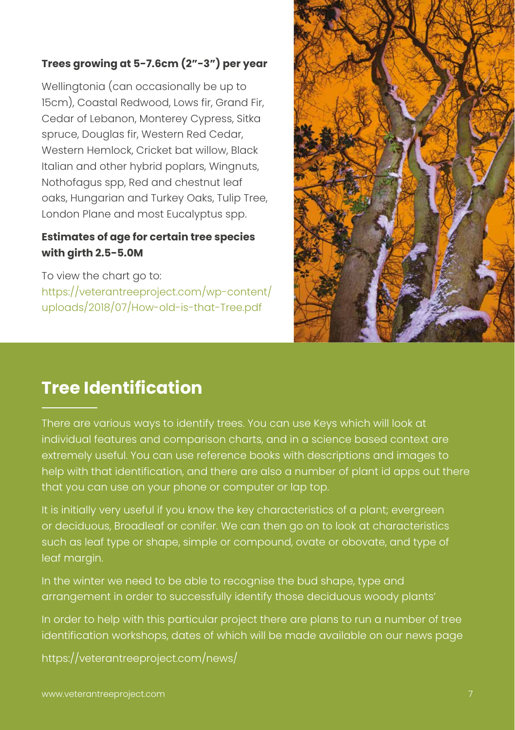#### **Trees growing at 5-7.6cm (2"-3") per year**

Wellingtonia (can occasionally be up to 15cm), Coastal Redwood, Lows fir, Grand Fir, Cedar of Lebanon, Monterey Cypress, Sitka spruce, Douglas fir, Western Red Cedar, Western Hemlock, Cricket bat willow, Black Italian and other hybrid poplars, Wingnuts, Nothofagus spp, Red and chestnut leaf oaks, Hungarian and Turkey Oaks, Tulip Tree, London Plane and most Eucalyptus spp.

#### **Estimates of age for certain tree species with girth 2.5-5.0M**

To view the chart go to:

https://veterantreeproject.com/wp-content/ uploads/2018/07/How-old-is-that-Tree.pdf



# **Tree Identification**

There are various ways to identify trees. You can use Keys which will look at individual features and comparison charts, and in a science based context are extremely useful. You can use reference books with descriptions and images to help with that identification, and there are also a number of plant id apps out there that you can use on your phone or computer or lap top.

It is initially very useful if you know the key characteristics of a plant; evergreen or deciduous, Broadleaf or conifer. We can then go on to look at characteristics such as leaf type or shape, simple or compound, ovate or obovate, and type of leaf margin.

In the winter we need to be able to recognise the bud shape, type and arrangement in order to successfully identify those deciduous woody plants'

In order to help with this particular project there are plans to run a number of tree identification workshops, dates of which will be made available on our news page

https://veterantreeproject.com/news/